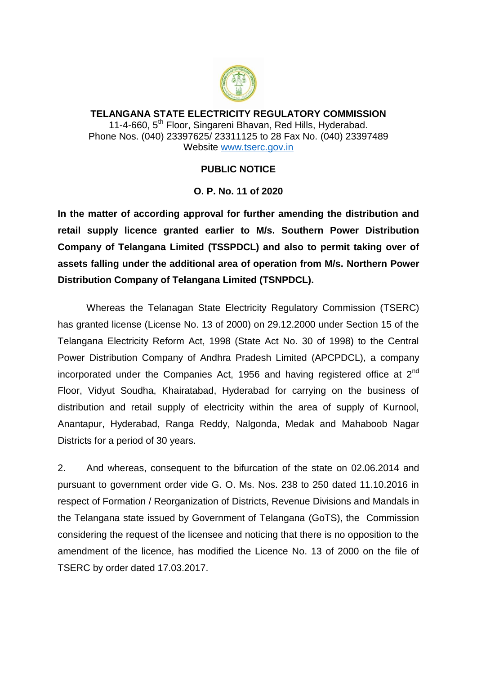

**TELANGANA STATE ELECTRICITY REGULATORY COMMISSION** 11-4-660, 5<sup>th</sup> Floor, Singareni Bhavan, Red Hills, Hyderabad. Phone Nos. (040) 23397625/ 23311125 to 28 Fax No. (040) 23397489 Website [www.tserc.gov.in](http://www.tserc.gov.in/)

## **PUBLIC NOTICE**

## **O. P. No. 11 of 2020**

**In the matter of according approval for further amending the distribution and retail supply licence granted earlier to M/s. Southern Power Distribution Company of Telangana Limited (TSSPDCL) and also to permit taking over of assets falling under the additional area of operation from M/s. Northern Power Distribution Company of Telangana Limited (TSNPDCL).**

Whereas the Telanagan State Electricity Regulatory Commission (TSERC) has granted license (License No. 13 of 2000) on 29.12.2000 under Section 15 of the Telangana Electricity Reform Act, 1998 (State Act No. 30 of 1998) to the Central Power Distribution Company of Andhra Pradesh Limited (APCPDCL), a company incorporated under the Companies Act, 1956 and having registered office at  $2<sup>nd</sup>$ Floor, Vidyut Soudha, Khairatabad, Hyderabad for carrying on the business of distribution and retail supply of electricity within the area of supply of Kurnool, Anantapur, Hyderabad, Ranga Reddy, Nalgonda, Medak and Mahaboob Nagar Districts for a period of 30 years.

2. And whereas, consequent to the bifurcation of the state on 02.06.2014 and pursuant to government order vide G. O. Ms. Nos. 238 to 250 dated 11.10.2016 in respect of Formation / Reorganization of Districts, Revenue Divisions and Mandals in the Telangana state issued by Government of Telangana (GoTS), the Commission considering the request of the licensee and noticing that there is no opposition to the amendment of the licence, has modified the Licence No. 13 of 2000 on the file of TSERC by order dated 17.03.2017.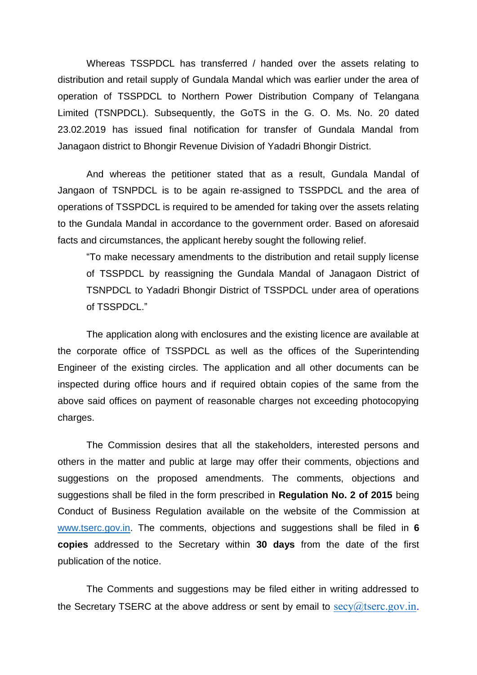Whereas TSSPDCL has transferred / handed over the assets relating to distribution and retail supply of Gundala Mandal which was earlier under the area of operation of TSSPDCL to Northern Power Distribution Company of Telangana Limited (TSNPDCL). Subsequently, the GoTS in the G. O. Ms. No. 20 dated 23.02.2019 has issued final notification for transfer of Gundala Mandal from Janagaon district to Bhongir Revenue Division of Yadadri Bhongir District.

And whereas the petitioner stated that as a result, Gundala Mandal of Jangaon of TSNPDCL is to be again re-assigned to TSSPDCL and the area of operations of TSSPDCL is required to be amended for taking over the assets relating to the Gundala Mandal in accordance to the government order. Based on aforesaid facts and circumstances, the applicant hereby sought the following relief.

"To make necessary amendments to the distribution and retail supply license of TSSPDCL by reassigning the Gundala Mandal of Janagaon District of TSNPDCL to Yadadri Bhongir District of TSSPDCL under area of operations of TSSPDCL."

The application along with enclosures and the existing licence are available at the corporate office of TSSPDCL as well as the offices of the Superintending Engineer of the existing circles. The application and all other documents can be inspected during office hours and if required obtain copies of the same from the above said offices on payment of reasonable charges not exceeding photocopying charges.

The Commission desires that all the stakeholders, interested persons and others in the matter and public at large may offer their comments, objections and suggestions on the proposed amendments. The comments, objections and suggestions shall be filed in the form prescribed in **Regulation No. 2 of 2015** being Conduct of Business Regulation available on the website of the Commission at [www.tserc.gov.in.](http://www.tserc.gov.in/) The comments, objections and suggestions shall be filed in **6 copies** addressed to the Secretary within **30 days** from the date of the first publication of the notice.

The Comments and suggestions may be filed either in writing addressed to the Secretary TSERC at the above address or sent by email to  $secv@tserc.gov.in.$